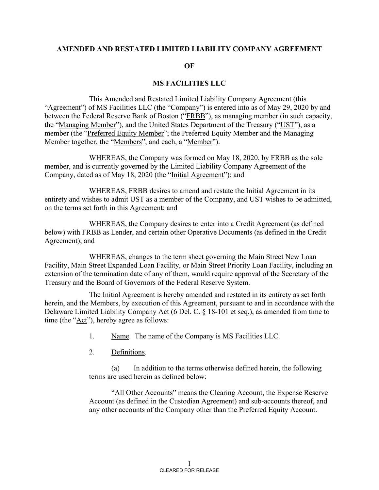#### **AMENDED AND RESTATED LIMITED LIABILITY COMPANY AGREEMENT**

#### **OF**

#### **MS FACILITIES LLC**

This Amended and Restated Limited Liability Company Agreement (this "Agreement") of MS Facilities LLC (the "Company") is entered into as of May 29, 2020 by and between the Federal Reserve Bank of Boston ("FRBB"), as managing member (in such capacity, the "Managing Member"), and the United States Department of the Treasury ("UST"), as a member (the "Preferred Equity Member"; the Preferred Equity Member and the Managing Member together, the "Members", and each, a "Member").

WHEREAS, the Company was formed on May 18, 2020, by FRBB as the sole member, and is currently governed by the Limited Liability Company Agreement of the Company, dated as of May 18, 2020 (the "Initial Agreement"); and

WHEREAS, FRBB desires to amend and restate the Initial Agreement in its entirety and wishes to admit UST as a member of the Company, and UST wishes to be admitted, on the terms set forth in this Agreement; and

WHEREAS, the Company desires to enter into a Credit Agreement (as defined below) with FRBB as Lender, and certain other Operative Documents (as defined in the Credit Agreement); and

WHEREAS, changes to the term sheet governing the Main Street New Loan Facility, Main Street Expanded Loan Facility, or Main Street Priority Loan Facility, including an extension of the termination date of any of them, would require approval of the Secretary of the Treasury and the Board of Governors of the Federal Reserve System.

The Initial Agreement is hereby amended and restated in its entirety as set forth herein, and the Members, by execution of this Agreement, pursuant to and in accordance with the Delaware Limited Liability Company Act (6 Del. C. § 18-101 et seq.), as amended from time to time (the "Act"), hereby agree as follows:

1. Name. The name of the Company is MS Facilities LLC.

2. Definitions.

(a) In addition to the terms otherwise defined herein, the following terms are used herein as defined below:

"All Other Accounts" means the Clearing Account, the Expense Reserve Account (as defined in the Custodian Agreement) and sub-accounts thereof, and any other accounts of the Company other than the Preferred Equity Account.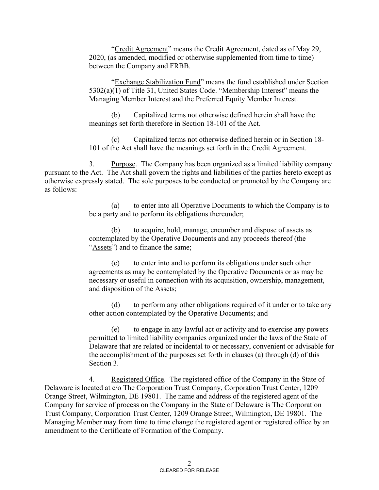"Credit Agreement" means the Credit Agreement, dated as of May 29, 2020, (as amended, modified or otherwise supplemented from time to time) between the Company and FRBB.

"Exchange Stabilization Fund" means the fund established under Section 5302(a)(1) of Title 31, United States Code. "Membership Interest" means the Managing Member Interest and the Preferred Equity Member Interest.

(b) Capitalized terms not otherwise defined herein shall have the meanings set forth therefore in Section 18-101 of the Act.

(c) Capitalized terms not otherwise defined herein or in Section 18- 101 of the Act shall have the meanings set forth in the Credit Agreement.

3. Purpose. The Company has been organized as a limited liability company pursuant to the Act. The Act shall govern the rights and liabilities of the parties hereto except as otherwise expressly stated. The sole purposes to be conducted or promoted by the Company are as follows:

> (a) to enter into all Operative Documents to which the Company is to be a party and to perform its obligations thereunder;

(b) to acquire, hold, manage, encumber and dispose of assets as contemplated by the Operative Documents and any proceeds thereof (the "Assets") and to finance the same;

(c) to enter into and to perform its obligations under such other agreements as may be contemplated by the Operative Documents or as may be necessary or useful in connection with its acquisition, ownership, management, and disposition of the Assets;

(d) to perform any other obligations required of it under or to take any other action contemplated by the Operative Documents; and

(e) to engage in any lawful act or activity and to exercise any powers permitted to limited liability companies organized under the laws of the State of Delaware that are related or incidental to or necessary, convenient or advisable for the accomplishment of the purposes set forth in clauses (a) through (d) of this Section 3.

4. Registered Office. The registered office of the Company in the State of Delaware is located at c/o The Corporation Trust Company, Corporation Trust Center, 1209 Orange Street, Wilmington, DE 19801. The name and address of the registered agent of the Company for service of process on the Company in the State of Delaware is The Corporation Trust Company, Corporation Trust Center, 1209 Orange Street, Wilmington, DE 19801. The Managing Member may from time to time change the registered agent or registered office by an amendment to the Certificate of Formation of the Company.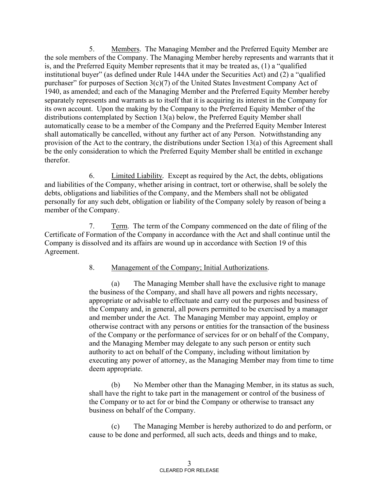5. Members. The Managing Member and the Preferred Equity Member are the sole members of the Company. The Managing Member hereby represents and warrants that it is, and the Preferred Equity Member represents that it may be treated as, (1) a "qualified institutional buyer" (as defined under Rule 144A under the Securities Act) and (2) a "qualified purchaser" for purposes of Section  $3(c)(7)$  of the United States Investment Company Act of 1940, as amended; and each of the Managing Member and the Preferred Equity Member hereby separately represents and warrants as to itself that it is acquiring its interest in the Company for its own account. Upon the making by the Company to the Preferred Equity Member of the distributions contemplated by Section 13(a) below, the Preferred Equity Member shall automatically cease to be a member of the Company and the Preferred Equity Member Interest shall automatically be cancelled, without any further act of any Person. Notwithstanding any provision of the Act to the contrary, the distributions under Section 13(a) of this Agreement shall be the only consideration to which the Preferred Equity Member shall be entitled in exchange therefor.

6. Limited Liability*.* Except as required by the Act, the debts, obligations and liabilities of the Company, whether arising in contract, tort or otherwise, shall be solely the debts, obligations and liabilities of the Company, and the Members shall not be obligated personally for any such debt, obligation or liability of the Company solely by reason of being a member of the Company.

7. Term. The term of the Company commenced on the date of filing of the Certificate of Formation of the Company in accordance with the Act and shall continue until the Company is dissolved and its affairs are wound up in accordance with Section 19 of this Agreement.

### 8. Management of the Company; Initial Authorizations.

(a) The Managing Member shall have the exclusive right to manage the business of the Company, and shall have all powers and rights necessary, appropriate or advisable to effectuate and carry out the purposes and business of the Company and, in general, all powers permitted to be exercised by a manager and member under the Act. The Managing Member may appoint, employ or otherwise contract with any persons or entities for the transaction of the business of the Company or the performance of services for or on behalf of the Company, and the Managing Member may delegate to any such person or entity such authority to act on behalf of the Company, including without limitation by executing any power of attorney, as the Managing Member may from time to time deem appropriate.

(b) No Member other than the Managing Member, in its status as such, shall have the right to take part in the management or control of the business of the Company or to act for or bind the Company or otherwise to transact any business on behalf of the Company.

(c) The Managing Member is hereby authorized to do and perform, or cause to be done and performed, all such acts, deeds and things and to make,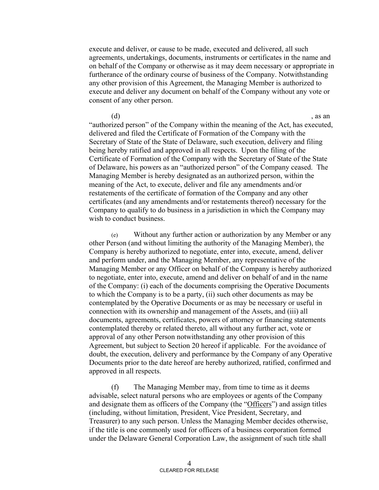execute and deliver, or cause to be made, executed and delivered, all such agreements, undertakings, documents, instruments or certificates in the name and on behalf of the Company or otherwise as it may deem necessary or appropriate in furtherance of the ordinary course of business of the Company. Notwithstanding any other provision of this Agreement, the Managing Member is authorized to execute and deliver any document on behalf of the Company without any vote or consent of any other person.

 $(d)$ , as an "authorized person" of the Company within the meaning of the Act, has executed, delivered and filed the Certificate of Formation of the Company with the Secretary of State of the State of Delaware, such execution, delivery and filing being hereby ratified and approved in all respects. Upon the filing of the Certificate of Formation of the Company with the Secretary of State of the State of Delaware, his powers as an "authorized person" of the Company ceased. The Managing Member is hereby designated as an authorized person, within the meaning of the Act, to execute, deliver and file any amendments and/or restatements of the certificate of formation of the Company and any other certificates (and any amendments and/or restatements thereof) necessary for the Company to qualify to do business in a jurisdiction in which the Company may wish to conduct business.

(e) Without any further action or authorization by any Member or any other Person (and without limiting the authority of the Managing Member), the Company is hereby authorized to negotiate, enter into, execute, amend, deliver and perform under, and the Managing Member, any representative of the Managing Member or any Officer on behalf of the Company is hereby authorized to negotiate, enter into, execute, amend and deliver on behalf of and in the name of the Company: (i) each of the documents comprising the Operative Documents to which the Company is to be a party, (ii) such other documents as may be contemplated by the Operative Documents or as may be necessary or useful in connection with its ownership and management of the Assets, and (iii) all documents, agreements, certificates, powers of attorney or financing statements contemplated thereby or related thereto, all without any further act, vote or approval of any other Person notwithstanding any other provision of this Agreement, but subject to Section 20 hereof if applicable. For the avoidance of doubt, the execution, delivery and performance by the Company of any Operative Documents prior to the date hereof are hereby authorized, ratified, confirmed and approved in all respects.

(f) The Managing Member may, from time to time as it deems advisable, select natural persons who are employees or agents of the Company and designate them as officers of the Company (the "Officers") and assign titles (including, without limitation, President, Vice President, Secretary, and Treasurer) to any such person. Unless the Managing Member decides otherwise, if the title is one commonly used for officers of a business corporation formed under the Delaware General Corporation Law, the assignment of such title shall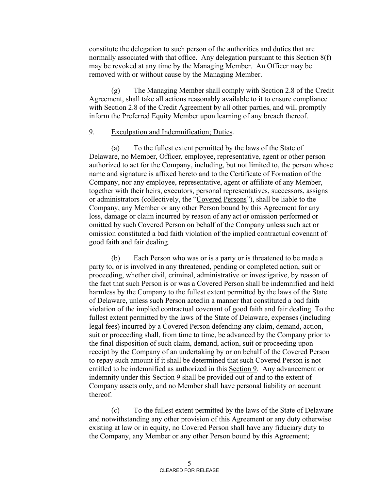constitute the delegation to such person of the authorities and duties that are normally associated with that office. Any delegation pursuant to this Section 8(f) may be revoked at any time by the Managing Member. An Officer may be removed with or without cause by the Managing Member.

(g) The Managing Member shall comply with Section 2.8 of the Credit Agreement, shall take all actions reasonably available to it to ensure compliance with Section 2.8 of the Credit Agreement by all other parties, and will promptly inform the Preferred Equity Member upon learning of any breach thereof.

#### 9. Exculpation and Indemnification; Duties*.*

(a) To the fullest extent permitted by the laws of the State of Delaware, no Member, Officer, employee, representative, agent or other person authorized to act for the Company, including, but not limited to, the person whose name and signature is affixed hereto and to the Certificate of Formation of the Company, nor any employee, representative, agent or affiliate of any Member, together with their heirs, executors, personal representatives, successors, assigns or administrators (collectively, the "Covered Persons"), shall be liable to the Company, any Member or any other Person bound by this Agreement for any loss, damage or claim incurred by reason of any act or omission performed or omitted by such Covered Person on behalf of the Company unless such act or omission constituted a bad faith violation of the implied contractual covenant of good faith and fair dealing.

 (b) Each Person who was or is a party or is threatened to be made a party to, or is involved in any threatened, pending or completed action, suit or proceeding, whether civil, criminal, administrative or investigative, by reason of the fact that such Person is or was a Covered Person shall be indemnified and held harmless by the Company to the fullest extent permitted by the laws of the State of Delaware, unless such Person acted in a manner that constituted a bad faith violation of the implied contractual covenant of good faith and fair dealing. To the fullest extent permitted by the laws of the State of Delaware, expenses (including legal fees) incurred by a Covered Person defending any claim, demand, action, suit or proceeding shall, from time to time, be advanced by the Company prior to the final disposition of such claim, demand, action, suit or proceeding upon receipt by the Company of an undertaking by or on behalf of the Covered Person to repay such amount if it shall be determined that such Covered Person is not entitled to be indemnified as authorized in this Section 9. Any advancement or indemnity under this Section 9 shall be provided out of and to the extent of Company assets only, and no Member shall have personal liability on account thereof.

 (c) To the fullest extent permitted by the laws of the State of Delaware and notwithstanding any other provision of this Agreement or any duty otherwise existing at law or in equity, no Covered Person shall have any fiduciary duty to the Company, any Member or any other Person bound by this Agreement;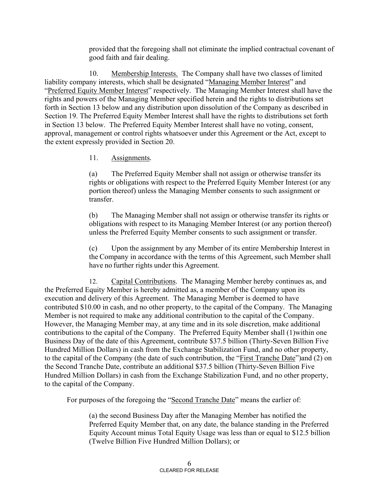provided that the foregoing shall not eliminate the implied contractual covenant of good faith and fair dealing.

10. Membership Interests. The Company shall have two classes of limited liability company interests, which shall be designated "Managing Member Interest" and "Preferred Equity Member Interest" respectively. The Managing Member Interest shall have the rights and powers of the Managing Member specified herein and the rights to distributions set forth in Section 13 below and any distribution upon dissolution of the Company as described in Section 19. The Preferred Equity Member Interest shall have the rights to distributions set forth in Section 13 below. The Preferred Equity Member Interest shall have no voting, consent, approval, management or control rights whatsoever under this Agreement or the Act, except to the extent expressly provided in Section 20.

## 11. Assignments*.*

(a) The Preferred Equity Member shall not assign or otherwise transfer its rights or obligations with respect to the Preferred Equity Member Interest (or any portion thereof) unless the Managing Member consents to such assignment or transfer.

(b) The Managing Member shall not assign or otherwise transfer its rights or obligations with respect to its Managing Member Interest (or any portion thereof) unless the Preferred Equity Member consents to such assignment or transfer.

(c) Upon the assignment by any Member of its entire Membership Interest in the Company in accordance with the terms of this Agreement, such Member shall have no further rights under this Agreement.

12. Capital Contributions. The Managing Member hereby continues as, and the Preferred Equity Member is hereby admitted as, a member of the Company upon its execution and delivery of this Agreement. The Managing Member is deemed to have contributed \$10.00 in cash, and no other property, to the capital of the Company. The Managing Member is not required to make any additional contribution to the capital of the Company. However, the Managing Member may, at any time and in its sole discretion, make additional contributions to the capital of the Company. The Preferred Equity Member shall (1)within one Business Day of the date of this Agreement, contribute \$37.5 billion (Thirty-Seven Billion Five Hundred Million Dollars) in cash from the Exchange Stabilization Fund, and no other property, to the capital of the Company (the date of such contribution, the "First Tranche Date")and (2) on the Second Tranche Date, contribute an additional \$37.5 billion (Thirty-Seven Billion Five Hundred Million Dollars) in cash from the Exchange Stabilization Fund, and no other property, to the capital of the Company.

For purposes of the foregoing the "Second Tranche Date" means the earlier of:

(a) the second Business Day after the Managing Member has notified the Preferred Equity Member that, on any date, the balance standing in the Preferred Equity Account minus Total Equity Usage was less than or equal to \$12.5 billion (Twelve Billion Five Hundred Million Dollars); or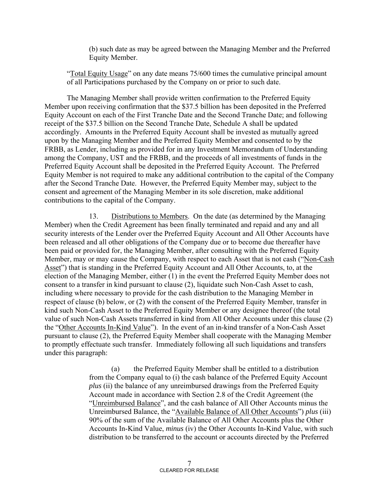(b) such date as may be agreed between the Managing Member and the Preferred Equity Member.

"Total Equity Usage" on any date means 75/600 times the cumulative principal amount of all Participations purchased by the Company on or prior to such date.

The Managing Member shall provide written confirmation to the Preferred Equity Member upon receiving confirmation that the \$37.5 billion has been deposited in the Preferred Equity Account on each of the First Tranche Date and the Second Tranche Date; and following receipt of the \$37.5 billion on the Second Tranche Date, Schedule A shall be updated accordingly. Amounts in the Preferred Equity Account shall be invested as mutually agreed upon by the Managing Member and the Preferred Equity Member and consented to by the FRBB, as Lender, including as provided for in any Investment Memorandum of Understanding among the Company, UST and the FRBB, and the proceeds of all investments of funds in the Preferred Equity Account shall be deposited in the Preferred Equity Account. The Preferred Equity Member is not required to make any additional contribution to the capital of the Company after the Second Tranche Date. However, the Preferred Equity Member may, subject to the consent and agreement of the Managing Member in its sole discretion, make additional contributions to the capital of the Company.

13. Distributions to Members. On the date (as determined by the Managing Member) when the Credit Agreement has been finally terminated and repaid and any and all security interests of the Lender over the Preferred Equity Account and All Other Accounts have been released and all other obligations of the Company due or to become due thereafter have been paid or provided for, the Managing Member, after consulting with the Preferred Equity Member, may or may cause the Company, with respect to each Asset that is not cash ("Non-Cash Asset") that is standing in the Preferred Equity Account and All Other Accounts, to, at the election of the Managing Member, either (1) in the event the Preferred Equity Member does not consent to a transfer in kind pursuant to clause (2), liquidate such Non-Cash Asset to cash, including where necessary to provide for the cash distribution to the Managing Member in respect of clause (b) below, or (2) with the consent of the Preferred Equity Member, transfer in kind such Non-Cash Asset to the Preferred Equity Member or any designee thereof (the total value of such Non-Cash Assets transferred in kind from All Other Accounts under this clause (2) the "Other Accounts In-Kind Value"). In the event of an in-kind transfer of a Non-Cash Asset pursuant to clause (2), the Preferred Equity Member shall cooperate with the Managing Member to promptly effectuate such transfer. Immediately following all such liquidations and transfers under this paragraph:

> (a) the Preferred Equity Member shall be entitled to a distribution from the Company equal to (i) the cash balance of the Preferred Equity Account *plus* (ii) the balance of any unreimbursed drawings from the Preferred Equity Account made in accordance with Section 2.8 of the Credit Agreement (the "Unreimbursed Balance", and the cash balance of All Other Accounts minus the Unreimbursed Balance, the "Available Balance of All Other Accounts") *plus* (iii) 90% of the sum of the Available Balance of All Other Accounts plus the Other Accounts In-Kind Value, *minus* (iv) the Other Accounts In-Kind Value, with such distribution to be transferred to the account or accounts directed by the Preferred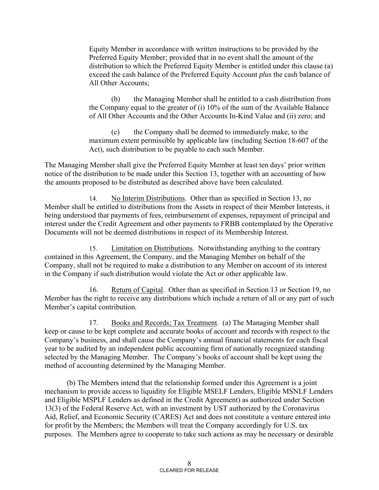Equity Member in accordance with written instructions to be provided by the Preferred Equity Member; provided that in no event shall the amount of the distribution to which the Preferred Equity Member is entitled under this clause (a) exceed the cash balance of the Preferred Equity Account *plus* the cash balance of All Other Accounts;

(b) the Managing Member shall be entitled to a cash distribution from the Company equal to the greater of (i) 10% of the sum of the Available Balance of All Other Accounts and the Other Accounts In-Kind Value and (ii) zero; and

(c) the Company shall be deemed to immediately make, to the maximum extent permissible by applicable law (including Section 18-607 of the Act), such distribution to be payable to each such Member.

The Managing Member shall give the Preferred Equity Member at least ten days' prior written notice of the distribution to be made under this Section 13, together with an accounting of how the amounts proposed to be distributed as described above have been calculated.

14. No Interim Distributions. Other than as specified in Section 13, no Member shall be entitled to distributions from the Assets in respect of their Member Interests, it being understood that payments of fees, reimbursement of expenses, repayment of principal and interest under the Credit Agreement and other payments to FRBB contemplated by the Operative Documents will not be deemed distributions in respect of its Membership Interest.

15. Limitation on Distributions. Notwithstanding anything to the contrary contained in this Agreement, the Company, and the Managing Member on behalf of the Company, shall not be required to make a distribution to any Member on account of its interest in the Company if such distribution would violate the Act or other applicable law.

16. Return of Capital. Other than as specified in Section 13 or Section 19, no Member has the right to receive any distributions which include a return of all or any part of such Member's capital contribution.

17. Books and Records; Tax Treatment. (a) The Managing Member shall keep or cause to be kept complete and accurate books of account and records with respect to the Company's business, and shall cause the Company's annual financial statements for each fiscal year to be audited by an independent public accounting firm of nationally recognized standing selected by the Managing Member. The Company's books of account shall be kept using the method of accounting determined by the Managing Member.

(b) The Members intend that the relationship formed under this Agreement is a joint mechanism to provide access to liquidity for Eligible MSELF Lenders, Eligible MSNLF Lenders and Eligible MSPLF Lenders as defined in the Credit Agreement) as authorized under Section 13(3) of the Federal Reserve Act, with an investment by UST authorized by the Coronavirus Aid, Relief, and Economic Security (CARES) Act and does not constitute a venture entered into for profit by the Members; the Members will treat the Company accordingly for U.S. tax purposes. The Members agree to cooperate to take such actions as may be necessary or desirable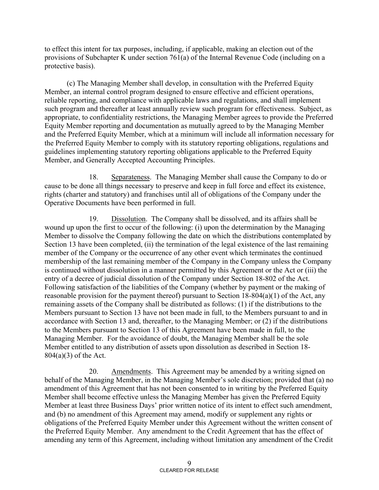to effect this intent for tax purposes, including, if applicable, making an election out of the provisions of Subchapter K under section 761(a) of the Internal Revenue Code (including on a protective basis).

(c) The Managing Member shall develop, in consultation with the Preferred Equity Member, an internal control program designed to ensure effective and efficient operations, reliable reporting, and compliance with applicable laws and regulations, and shall implement such program and thereafter at least annually review such program for effectiveness. Subject, as appropriate, to confidentiality restrictions, the Managing Member agrees to provide the Preferred Equity Member reporting and documentation as mutually agreed to by the Managing Member and the Preferred Equity Member, which at a minimum will include all information necessary for the Preferred Equity Member to comply with its statutory reporting obligations, regulations and guidelines implementing statutory reporting obligations applicable to the Preferred Equity Member, and Generally Accepted Accounting Principles.

18. Separateness. The Managing Member shall cause the Company to do or cause to be done all things necessary to preserve and keep in full force and effect its existence, rights (charter and statutory) and franchises until all of obligations of the Company under the Operative Documents have been performed in full.

19. Dissolution. The Company shall be dissolved, and its affairs shall be wound up upon the first to occur of the following: (i) upon the determination by the Managing Member to dissolve the Company following the date on which the distributions contemplated by Section 13 have been completed, (ii) the termination of the legal existence of the last remaining member of the Company or the occurrence of any other event which terminates the continued membership of the last remaining member of the Company in the Company unless the Company is continued without dissolution in a manner permitted by this Agreement or the Act or (iii) the entry of a decree of judicial dissolution of the Company under Section 18-802 of the Act. Following satisfaction of the liabilities of the Company (whether by payment or the making of reasonable provision for the payment thereof) pursuant to Section 18-804(a)(1) of the Act, any remaining assets of the Company shall be distributed as follows: (1) if the distributions to the Members pursuant to Section 13 have not been made in full, to the Members pursuant to and in accordance with Section 13 and, thereafter, to the Managing Member; or (2) if the distributions to the Members pursuant to Section 13 of this Agreement have been made in full, to the Managing Member. For the avoidance of doubt, the Managing Member shall be the sole Member entitled to any distribution of assets upon dissolution as described in Section 18- 804(a)(3) of the Act.

20. Amendments. This Agreement may be amended by a writing signed on behalf of the Managing Member, in the Managing Member's sole discretion; provided that (a) no amendment of this Agreement that has not been consented to in writing by the Preferred Equity Member shall become effective unless the Managing Member has given the Preferred Equity Member at least three Business Days' prior written notice of its intent to effect such amendment, and (b) no amendment of this Agreement may amend, modify or supplement any rights or obligations of the Preferred Equity Member under this Agreement without the written consent of the Preferred Equity Member. Any amendment to the Credit Agreement that has the effect of amending any term of this Agreement, including without limitation any amendment of the Credit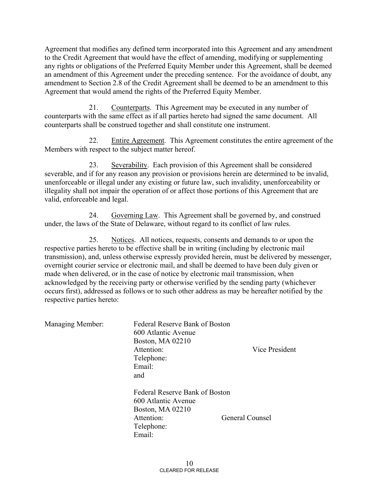Agreement that modifies any defined term incorporated into this Agreement and any amendment to the Credit Agreement that would have the effect of amending, modifying or supplementing any rights or obligations of the Preferred Equity Member under this Agreement, shall be deemed an amendment of this Agreement under the preceding sentence. For the avoidance of doubt, any amendment to Section 2.8 of the Credit Agreement shall be deemed to be an amendment to this Agreement that would amend the rights of the Preferred Equity Member.

21. Counterparts. This Agreement may be executed in any number of counterparts with the same effect as if all parties hereto had signed the same document. All counterparts shall be construed together and shall constitute one instrument.

22. Entire Agreement. This Agreement constitutes the entire agreement of the Members with respect to the subject matter hereof.

23. Severability. Each provision of this Agreement shall be considered severable, and if for any reason any provision or provisions herein are determined to be invalid, unenforceable or illegal under any existing or future law, such invalidity, unenforceability or illegality shall not impair the operation of or affect those portions of this Agreement that are valid, enforceable and legal.

24. Governing Law. This Agreement shall be governed by, and construed under, the laws of the State of Delaware, without regard to its conflict of law rules.

25. Notices. All notices, requests, consents and demands to or upon the respective parties hereto to be effective shall be in writing (including by electronic mail transmission), and, unless otherwise expressly provided herein, must be delivered by messenger, overnight courier service or electronic mail, and shall be deemed to have been duly given or made when delivered, or in the case of notice by electronic mail transmission, when acknowledged by the receiving party or otherwise verified by the sending party (whichever occurs first), addressed as follows or to such other address as may be hereafter notified by the respective parties hereto:

| Managing Member: | <b>Federal Reserve Bank of Boston</b><br>600 Atlantic Avenue<br><b>Boston, MA 02210</b><br>Attention:<br>Telephone:<br>Email:<br>and | Vice President         |
|------------------|--------------------------------------------------------------------------------------------------------------------------------------|------------------------|
|                  | Federal Reserve Bank of Boston<br>600 Atlantic Avenue<br><b>Boston, MA 02210</b><br>Attention:<br>Telephone:<br>Email:               | <b>General Counsel</b> |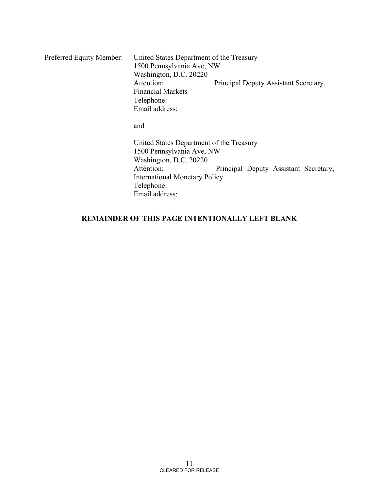Preferred Equity Member: United States Department of the Treasury 1500 Pennsylvania Ave, NW Washington, D.C. 20220 Principal Deputy Assistant Secretary, Financial Markets Telephone: Email address: and United States Department of the Treasury 1500 Pennsylvania Ave, NW Washington, D.C. 20220 Attention: Principal Deputy Assistant Secretary, International Monetary Policy Telephone: Email address:

## **REMAINDER OF THIS PAGE INTENTIONALLY LEFT BLANK**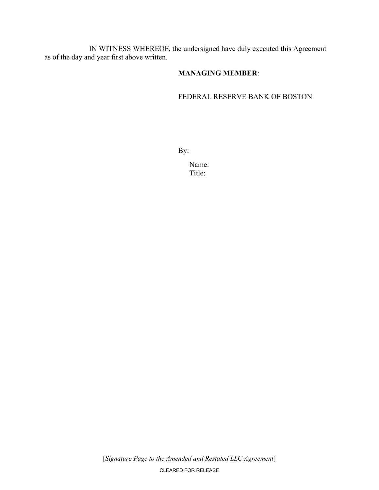IN WITNESS WHEREOF, the undersigned have duly executed this Agreement as of the day and year first above written.

## **MANAGING MEMBER**:

### FEDERAL RESERVE BANK OF BOSTON

By:

 Name: Title: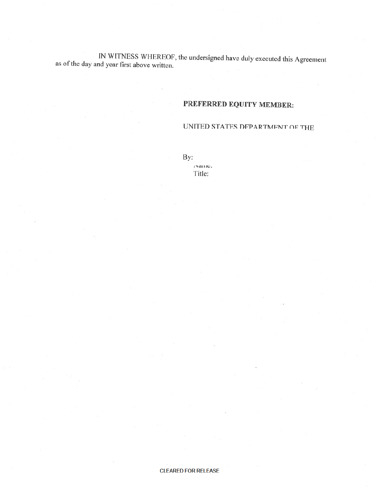IN WITNESS WHEREOF, the undersigned have duly executed this Agreement as of the day and year first above written.

# PREFERRED EQUITY MEMBER:

## UNITED STATES DEPARTMENT OF THE

By: гуанге.

Title:

#### **CLEARED FOR RELEASE**